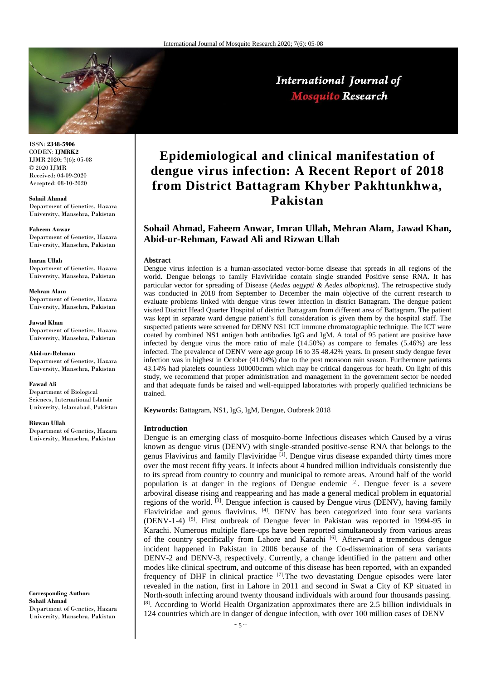

International Journal of **Mosquito Research** 

ISSN: **2348-5906** CODEN: **IJMRK2** IJMR 2020; 7(6): 05-08 © 2020 IJMR Received: 04-09-2020 Accepted: 08-10-2020

**Sohail Ahmad** Department of Genetics, Hazara University, Mansehra, Pakistan

**Faheem Anwar** Department of Genetics, Hazara University, Mansehra, Pakistan

**Imran Ullah** Department of Genetics, Hazara University, Mansehra, Pakistan

**Mehran Alam** Department of Genetics, Hazara University, Mansehra, Pakistan

**Jawad Khan** Department of Genetics, Hazara University, Mansehra, Pakistan

**Abid-ur-Rehman** Department of Genetics, Hazara University, Mansehra, Pakistan

**Fawad Ali** Department of Biological Sciences, International Islamic University, Islamabad, Pakistan

**Rizwan Ullah**

Department of Genetics, Hazara University, Mansehra, Pakistan

**Corresponding Author: Sohail Ahmad** Department of Genetics, Hazara University, Mansehra, Pakistan

# **Epidemiological and clinical manifestation of dengue virus infection: A Recent Report of 2018 from District Battagram Khyber Pakhtunkhwa, Pakistan**

## **Sohail Ahmad, Faheem Anwar, Imran Ullah, Mehran Alam, Jawad Khan, Abid-ur-Rehman, Fawad Ali and Rizwan Ullah**

## **Abstract**

Dengue virus infection is a human-associated vector-borne disease that spreads in all regions of the world. Dengue belongs to family Flaviviridae contain single stranded Positive sense RNA. It has particular vector for spreading of Disease (*Aedes aegypti & Aedes albopictus*). The retrospective study was conducted in 2018 from September to December the main objective of the current research to evaluate problems linked with dengue virus fewer infection in district Battagram. The dengue patient visited District Head Quarter Hospital of district Battagram from different area of Battagram. The patient was kept in separate ward dengue patient's full consideration is given them by the hospital staff. The suspected patients were screened for DENV NS1 ICT immune chromatographic technique. The ICT were coated by combined NS1 antigen both antibodies IgG and IgM. A total of 95 patient are positive have infected by dengue virus the more ratio of male (14.50%) as compare to females (5.46%) are less infected. The prevalence of DENV were age group 16 to 35 48.42% years. In present study dengue fever infection was in highest in October (41.04%) due to the post monsoon rain season. Furthermore patients 43.14% had platelets countless 100000cmm which may be critical dangerous for heath. On light of this study, we recommend that proper administration and management in the government sector be needed and that adequate funds be raised and well-equipped laboratories with properly qualified technicians be trained.

**Keywords:** Battagram, NS1, IgG, IgM, Dengue, Outbreak 2018

## **Introduction**

Dengue is an emerging class of mosquito-borne Infectious diseases which Caused by a virus known as dengue virus (DENV) with single-stranded positive-sense RNA that belongs to the genus Flavivirus and family Flaviviridae <sup>[1]</sup>. Dengue virus disease expanded thirty times more over the most recent fifty years. It infects about 4 hundred million individuals consistently due to its spread from country to country and municipal to remote areas. Around half of the world population is at danger in the regions of Dengue endemic  $[2]$ . Dengue fever is a severe arboviral disease rising and reappearing and has made a general medical problem in equatorial regions of the world.  $^{[3]}$ . Dengue infection is caused by Dengue virus (DENV), having family Flaviviridae and genus flavivirus. <sup>[4]</sup>. DENV has been categorized into four sera variants (DENV-1-4) [5]. First outbreak of Dengue fever in Pakistan was reported in 1994-95 in Karachi. Numerous multiple flare-ups have been reported simultaneously from various areas of the country specifically from Lahore and Karachi [6]. Afterward a tremendous dengue incident happened in Pakistan in 2006 because of the Co-dissemination of sera variants DENV-2 and DENV-3, respectively. Currently, a change identified in the pattern and other modes like clinical spectrum, and outcome of this disease has been reported, with an expanded frequency of DHF in clinical practice  $^{[7]}$ . The two devastating Dengue episodes were later revealed in the nation, first in Lahore in 2011 and second in Swat a City of KP situated in North-south infecting around twenty thousand individuals with around four thousands passing. <sup>[8]</sup>. According to World Health Organization approximates there are 2.5 billion individuals in 124 countries which are in danger of dengue infection, with over 100 million cases of DENV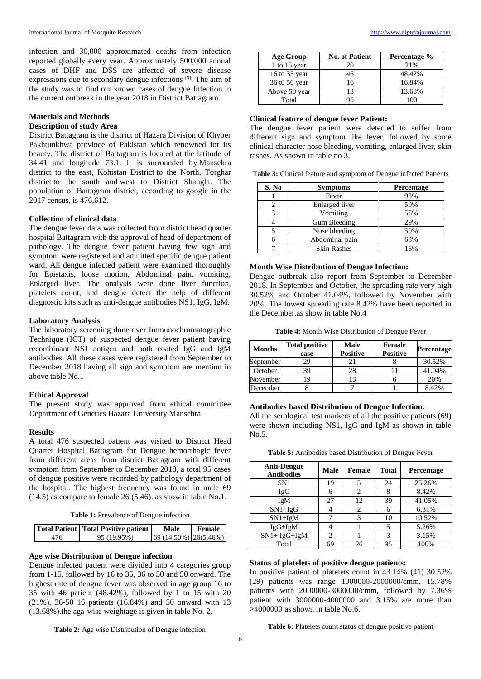infection and 30,000 approximated deaths from infection reported globally every year. Approximately 500,000 annual cases of DHF and DSS are affected of severe disease expressions due to secondary dengue infections [9]. The aim of the study was to find out known cases of dengue Infection in the current outbreak in the year 2018 in District Battagram.

## **Materials and Methods**

#### **Description of study Area**

District Battagram is the district of Hazara Division of Khyber Pakhtunkhwa province of Pakistan which renowned for its beauty. The district of Battagram is located at the latitude of 34.41 and longitude 73.1. It is surrounded by Mansehra district to the east, Kohistan District to the North, Torghar district to the south and west to District Shangla. The population of Battagram district, according to google in the 2017 census, is 476,612.

## **Collection of clinical data**

The dengue fever data was collected from district head quarter hospital Battagram with the approval of head of department of pathology. The dengue fever patient having few sign and symptom were registered and admitted specific dengue patient ward. All dengue infected patient were examined thoroughly for Epistaxis, loose motion, Abdominal pain, vomiting, Enlarged liver. The analysis were done liver function, platelets count, and dengue detect the help of different diagnostic kits such as anti-dengue antibodies NS1, IgG, IgM.

#### **Laboratory Analysis**

The laboratory screening done over Immunochromatographic Technique (ICT) of suspected dengue fever patient having recombinant NS1 antigen and both coated IgG and IgM antibodies. All these cases were registered from September to December 2018 having all sign and symptom are mention in above table No.1

#### **Ethical Approval**

The present study was approved from ethical committee Department of Genetics Hazara University Mansehra.

#### **Results**

A total 476 suspected patient was visited to District Head Quarter Hospital Battagram for Dengue hemorrhagic fever from different areas from district Battagram with different symptom from September to December 2018, a total 95 cases of dengue positive were recorded by pathology department of the hospital. The highest frequency was found in male 69 (14.5) as compare to female 26 (5.46). as show in table No.1.

**Table 1:** Prevalence of Dengue infection

| Total Patient   Total Positive patient | Male                  | Female |
|----------------------------------------|-----------------------|--------|
| 95 (19.95%)                            | $(14.50\%)$ 26(5.46%) |        |

#### **Age wise Distribution of Dengue infection**

Dengue infected patient were divided into 4 categories group from 1-15, followed by 16 to 35, 36 to 50 and 50 onward. The highest rate of dengue fever was observed in age group 16 to 35 with 46 patient (48.42%), followed by 1 to 15 with 20 (21%), 36-50 16 patients (16.84%) and 50 onward with 13 (13.68%).the aga-wise weightage is given in table No. 2.

| <b>Age Group</b> | <b>No. of Patient</b> | Percentage % |
|------------------|-----------------------|--------------|
| 1 to $15$ year   | 20                    | 21%          |
| 16 to 35 year    | 46                    | 48.42%       |
| 36 t0 50 year    | 16                    | 16.84%       |
| Above 50 year    | 13                    | 13.68%       |
| Total            | 95                    | 100          |

#### **Clinical feature of dengue fever Patient:**

The dengue fever patient were detected to suffer from different sign and symptom like fever, followed by some clinical character nose bleeding, vomiting, enlarged liver, skin rashes. As shown in table no 3.

**Table 3:** Clinical feature and symptom of Dengue infected Patients

| S. No | <b>Symptoms</b>    | Percentage |
|-------|--------------------|------------|
|       | Fever              | 98%        |
|       | Enlarged liver     | 59%        |
| 3     | Vomiting           | 55%        |
|       | Gum Bleeding       | 29%        |
|       | Nose bleeding      | 50%        |
|       | Abdominal pain     | 63%        |
|       | <b>Skin Rashes</b> | 16%        |

#### **Month Wise Distribution of Dengue Infection:**

Dengue outbreak also report from September to December 2018. In September and October, the spreading rate very high 30.52% and October 41.04%, followed by November with 20%. The lowest spreading rate 8.42% have been reported in the December.as show in table No.4

**Table 4:** Month Wise Distribution of Dengue Fever

| <b>Months</b> | <b>Total positive</b><br>case | Male<br><b>Positive</b> | <b>Female</b><br><b>Positive</b> | <b>Percentage</b> |
|---------------|-------------------------------|-------------------------|----------------------------------|-------------------|
| September     | 29                            | 21                      |                                  | 30.52%            |
| October       | 39                            | 28                      |                                  | 41.04%            |
| November      | 19                            | 13                      |                                  | 20%               |
| December      |                               |                         |                                  | 8.42%             |

#### **Antibodies based Distribution of Dengue Infection**:

All the serological test markers of all the positive patients (69) were shown including NS1, IgG and IgM as shown in table No.5.

| Table 5: Antibodies based Distribution of Dengue Fever |  |  |
|--------------------------------------------------------|--|--|
|--------------------------------------------------------|--|--|

| <b>Anti-Dengue</b><br><b>Antibodies</b> | Male | <b>Female</b> | <b>Total</b> | <b>Percentage</b> |
|-----------------------------------------|------|---------------|--------------|-------------------|
| SN <sub>1</sub>                         | 19   | 5             | 24           | 25.26%            |
| IgG                                     | 6    | 2             |              | 8.42%             |
| IgM                                     | 27   | 12            | 39           | 41.05%            |
| $SN1+IgG$                               |      | 2             | 6            | 6.31%             |
| $SN1+IgM$                               |      | 3             | 10           | 10.52%            |
| $IgG+IgM$                               |      |               |              | 5.26%             |
| $SN1+ IgG+IgM$                          | 2    |               | 3            | 3.15%             |
| Total                                   | 69   | 26            | 95           | 100%              |

## **Status of platelets of positive dengue patients:**

In positive patient of platelets count in 43.14% (41) 30.52% (29) patients was range 1000000-2000000/cmm, 15.78% patients with 2000000-3000000/cmm, followed by 7.36% patient with 3000000-4000000 and 3.15% are more than >4000000 as shown in table No.6.

**Table 2:** Age wise Distribution of Dengue infection

**Table 6:** Platelets count status of dengue positive patient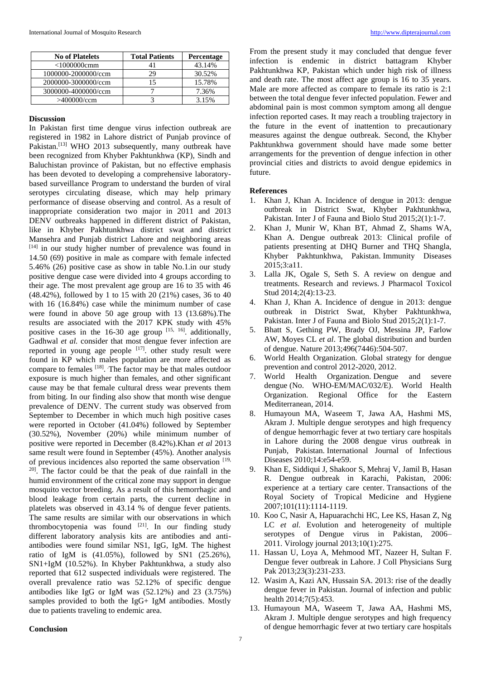| <b>No of Platelets</b> | <b>Total Patients</b> | <b>Percentage</b> |
|------------------------|-----------------------|-------------------|
| $<$ 1000000 $cmm$      | 41                    | 43.14%            |
| 1000000-2000000/ccm    | 29                    | 30.52%            |
| 2000000-3000000/ccm    | 15                    | 15.78%            |
| 3000000-4000000/ccm    |                       | 7.36%             |
| >400000/ccm            |                       | 3.15%             |

#### **Discussion**

In Pakistan first time dengue virus infection outbreak are registered in 1982 in Lahore district of Punjab province of Pakistan.<sup>[13]</sup> WHO 2013 subsequently, many outbreak have been recognized from Khyber Pakhtunkhwa (KP), Sindh and Baluchistan province of Pakistan, but no effective emphasis has been devoted to developing a comprehensive laboratorybased surveillance Program to understand the burden of viral serotypes circulating disease, which may help primary performance of disease observing and control. As a result of inappropriate consideration two major in 2011 and 2013 DENV outbreaks happened in different district of Pakistan, like in Khyber Pakhtunkhwa district swat and district Mansehra and Punjab district Lahore and neighboring areas [14] in our study higher number of prevalence was found in 14.50 (69) positive in male as compare with female infected 5.46% (26) positive case as show in table No.1.in our study positive dengue case were divided into 4 groups according to their age. The most prevalent age group are 16 to 35 with 46 (48.42%), followed by 1 to 15 with 20 (21%) cases, 36 to 40 with 16 (16.84%) case while the minimum number of case were found in above 50 age group with 13 (13.68%).The results are associated with the 2017 KPK study with 45% positive cases in the  $16-30$  age group  $[15, 16]$ . additionally, Gadhwal *et al.* consider that most dengue fever infection are reported in young age people  $\left[17\right]$ , other study result were found in KP which males population are more affected as compare to females <sup>[18]</sup>. The factor may be that males outdoor exposure is much higher than females, and other significant cause may be that female cultural dress wear prevents them from biting. In our finding also show that month wise dengue prevalence of DENV. The current study was observed from September to December in which much high positive cases were reported in October (41.04%) followed by September (30.52%), November (20%) while minimum number of positive were reported in December (8.42%).Khan *et al* 2013 same result were found in September (45%). Another analysis of previous incidences also reported the same observation [19, <sup>20]</sup>. The factor could be that the peak of due rainfall in the humid environment of the critical zone may support in dengue mosquito vector breeding. As a result of this hemorrhagic and blood leakage from certain parts, the current decline in platelets was observed in 43.14 % of dengue fever patients. The same results are similar with our observations in which thrombocytopenia was found  $[21]$ . In our finding study different laboratory analysis kits are antibodies and antiantibodies were found similar NS1, IgG, IgM. The highest ratio of IgM is (41.05%), followed by SN1 (25.26%), SN1+IgM (10.52%). In Khyber Pakhtunkhwa, a study also reported that 612 suspected individuals were registered. The overall prevalence ratio was 52.12% of specific dengue antibodies like IgG or IgM was (52.12%) and 23 (3.75%) samples provided to both the IgG+ IgM antibodies. Mostly due to patients traveling to endemic area.

From the present study it may concluded that dengue fever infection is endemic in district battagram Khyber Pakhtunkhwa KP, Pakistan which under high risk of illness and death rate. The most affect age group is 16 to 35 years. Male are more affected as compare to female its ratio is 2:1 between the total dengue fever infected population. Fewer and abdominal pain is most common symptom among all dengue infection reported cases. It may reach a troubling trajectory in the future in the event of inattention to precautionary measures against the dengue outbreak. Second, the Khyber Pakhtunkhwa government should have made some better arrangements for the prevention of dengue infection in other provincial cities and districts to avoid dengue epidemics in future.

## **References**

- 1. Khan J, Khan A. Incidence of dengue in 2013: dengue outbreak in District Swat, Khyber Pakhtunkhwa, Pakistan. Inter J of Fauna and Biolo Stud 2015;2(1):1-7.
- 2. Khan J, Munir W, Khan BT, Ahmad Z, Shams WA, Khan A. Dengue outbreak 2013: Clinical profile of patients presenting at DHQ Burner and THQ Shangla, Khyber Pakhtunkhwa, Pakistan. Immunity Diseases 2015;3:a11.
- 3. Lalla JK, Ogale S, Seth S. A review on dengue and treatments. Research and reviews. J Pharmacol Toxicol Stud 2014;2(4):13-23.
- 4. Khan J, Khan A. Incidence of dengue in 2013: dengue outbreak in District Swat, Khyber Pakhtunkhwa, Pakistan. Inter J of Fauna and Biolo Stud 2015;2(1):1-7.
- 5. Bhatt S, Gething PW, Brady OJ, Messina JP, Farlow AW, Moyes CL *et al*. The global distribution and burden of dengue. Nature 2013;496(7446):504-507.
- 6. World Health Organization. Global strategy for dengue prevention and control 2012-2020, 2012.
- 7. World Health Organization. Dengue and severe dengue (No. WHO-EM/MAC/032/E). World Health Organization. Regional Office for the Eastern Mediterranean, 2014.
- 8. Humayoun MA, Waseem T, Jawa AA, Hashmi MS, Akram J. Multiple dengue serotypes and high frequency of dengue hemorrhagic fever at two tertiary care hospitals in Lahore during the 2008 dengue virus outbreak in Punjab, Pakistan. International Journal of Infectious Diseases 2010;14:e54-e59.
- 9. Khan E, Siddiqui J, Shakoor S, Mehraj V, Jamil B, Hasan R. Dengue outbreak in Karachi, Pakistan, 2006: experience at a tertiary care center. Transactions of the Royal Society of Tropical Medicine and Hygiene 2007;101(11):1114-1119.
- 10. Koo C, Nasir A, Hapuarachchi HC, Lee KS, Hasan Z, Ng LC *et al*. Evolution and heterogeneity of multiple serotypes of Dengue virus in Pakistan, 2006– 2011. Virology journal 2013;10(1):275.
- 11. Hassan U, Loya A, Mehmood MT, Nazeer H, Sultan F. Dengue fever outbreak in Lahore. J Coll Physicians Surg Pak 2013;23(3):231-233.
- 12. Wasim A, Kazi AN, Hussain SA. 2013: rise of the deadly dengue fever in Pakistan. Journal of infection and public health 2014;7(5):453.
- 13. Humayoun MA, Waseem T, Jawa AA, Hashmi MS, Akram J. Multiple dengue serotypes and high frequency of dengue hemorrhagic fever at two tertiary care hospitals

## **Conclusion**